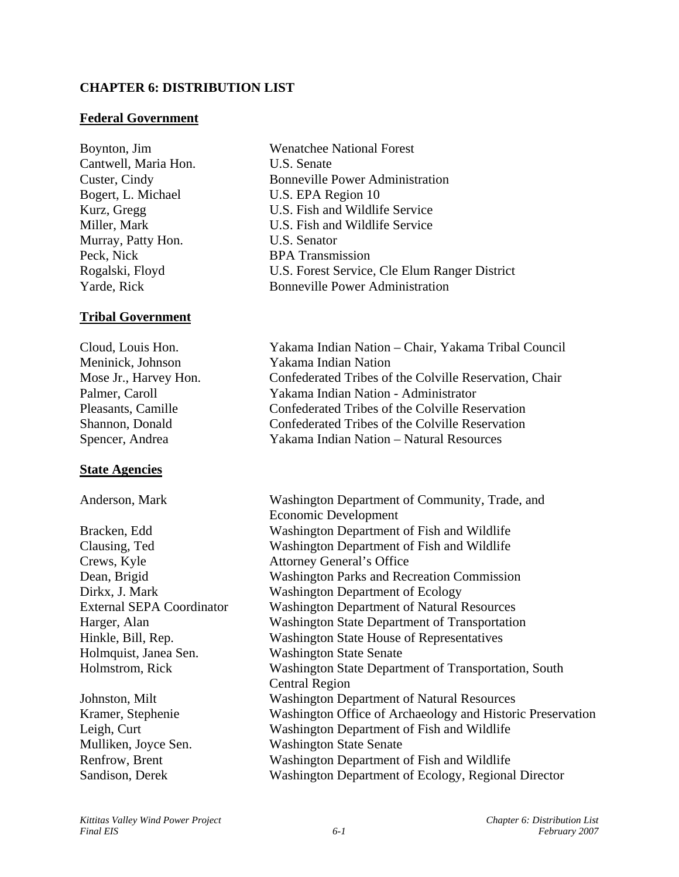# **CHAPTER 6: DISTRIBUTION LIST**

## **Federal Government**

Cantwell, Maria Hon. U.S. Senate Bogert, L. Michael U.S. EPA Region 10 Murray, Patty Hon. U.S. Senator Peck, Nick BPA Transmission

# **Tribal Government**

Meninick, Johnson Yakama Indian Nation

# **State Agencies**

Crews, Kyle Attorney General's Office Holmquist, Janea Sen. Washington State Senate

Boynton, Jim Wenatchee National Forest Custer, Cindy Bonneville Power Administration Kurz, Gregg U.S. Fish and Wildlife Service Miller, Mark U.S. Fish and Wildlife Service Rogalski, Floyd U.S. Forest Service, Cle Elum Ranger District Yarde, Rick Bonneville Power Administration

Cloud, Louis Hon. Yakama Indian Nation – Chair, Yakama Tribal Council Mose Jr., Harvey Hon. Confederated Tribes of the Colville Reservation, Chair Palmer, Caroll Yakama Indian Nation - Administrator Pleasants, Camille Confederated Tribes of the Colville Reservation Shannon, Donald Confederated Tribes of the Colville Reservation Spencer, Andrea Yakama Indian Nation – Natural Resources

Anderson, Mark Washington Department of Community, Trade, and Economic Development Bracken, Edd Washington Department of Fish and Wildlife Clausing, Ted Washington Department of Fish and Wildlife Dean, Brigid Washington Parks and Recreation Commission Dirkx, J. Mark Washington Department of Ecology External SEPA Coordinator Washington Department of Natural Resources Harger, Alan Washington State Department of Transportation Hinkle, Bill, Rep. Washington State House of Representatives Holmstrom, Rick Washington State Department of Transportation, South Central Region Johnston, Milt Washington Department of Natural Resources Kramer, Stephenie Washington Office of Archaeology and Historic Preservation Leigh, Curt Washington Department of Fish and Wildlife Mulliken, Joyce Sen. Washington State Senate Renfrow, Brent Washington Department of Fish and Wildlife Sandison, Derek Washington Department of Ecology, Regional Director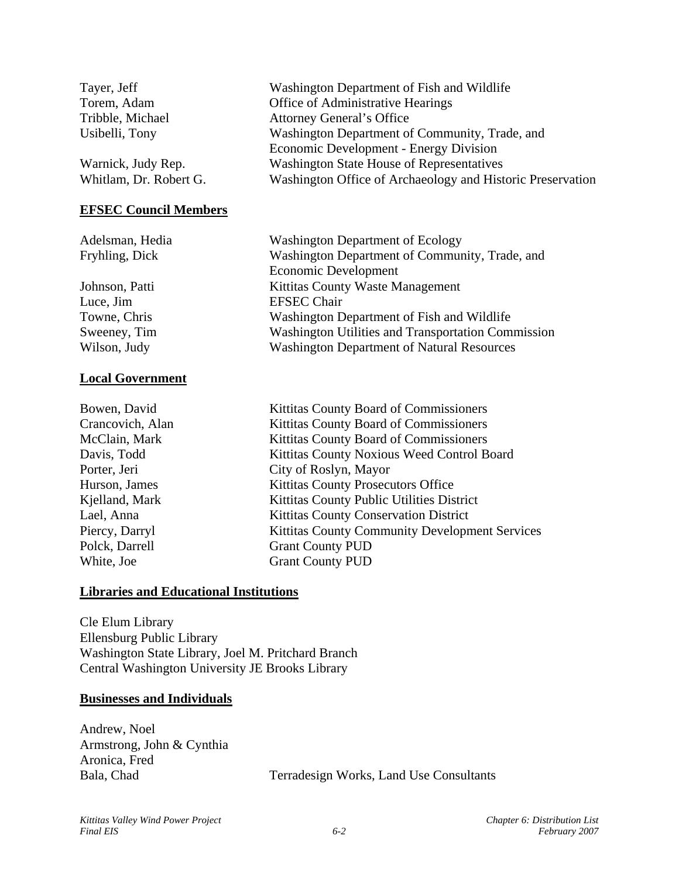| Tayer, Jeff                  | Washington Department of Fish and Wildlife                 |
|------------------------------|------------------------------------------------------------|
| Torem, Adam                  | Office of Administrative Hearings                          |
| Tribble, Michael             | <b>Attorney General's Office</b>                           |
| Usibelli, Tony               | Washington Department of Community, Trade, and             |
|                              | Economic Development - Energy Division                     |
| Warnick, Judy Rep.           | <b>Washington State House of Representatives</b>           |
| Whitlam, Dr. Robert G.       | Washington Office of Archaeology and Historic Preservation |
| <b>EFSEC Council Members</b> |                                                            |
| Adelsman, Hedia              | <b>Washington Department of Ecology</b>                    |
| Fryhling, Dick               | Washington Department of Community, Trade, and             |
|                              | Economic Development                                       |
| Johnson, Patti               | Kittitas County Waste Management                           |
| Luce, Jim                    | <b>EFSEC</b> Chair                                         |
| Towne, Chris                 | Washington Department of Fish and Wildlife                 |
| Sweeney, Tim                 | <b>Washington Utilities and Transportation Commission</b>  |
| Wilson, Judy                 | <b>Washington Department of Natural Resources</b>          |

## **Local Government**

Bowen, David Kittitas County Board of Commissioners Crancovich, Alan Kittitas County Board of Commissioners McClain, Mark Kittitas County Board of Commissioners Davis, Todd Kittitas County Noxious Weed Control Board Porter, Jeri City of Roslyn, Mayor Hurson, James Kittitas County Prosecutors Office Kjelland, Mark Kittitas County Public Utilities District Lael, Anna Kittitas County Conservation District Piercy, Darryl Kittitas County Community Development Services Polck, Darrell Grant County PUD White, Joe Grant County PUD

## **Libraries and Educational Institutions**

Cle Elum Library Ellensburg Public Library Washington State Library, Joel M. Pritchard Branch Central Washington University JE Brooks Library

#### **Businesses and Individuals**

Andrew, Noel Armstrong, John & Cynthia Aronica, Fred

Bala, Chad Terradesign Works, Land Use Consultants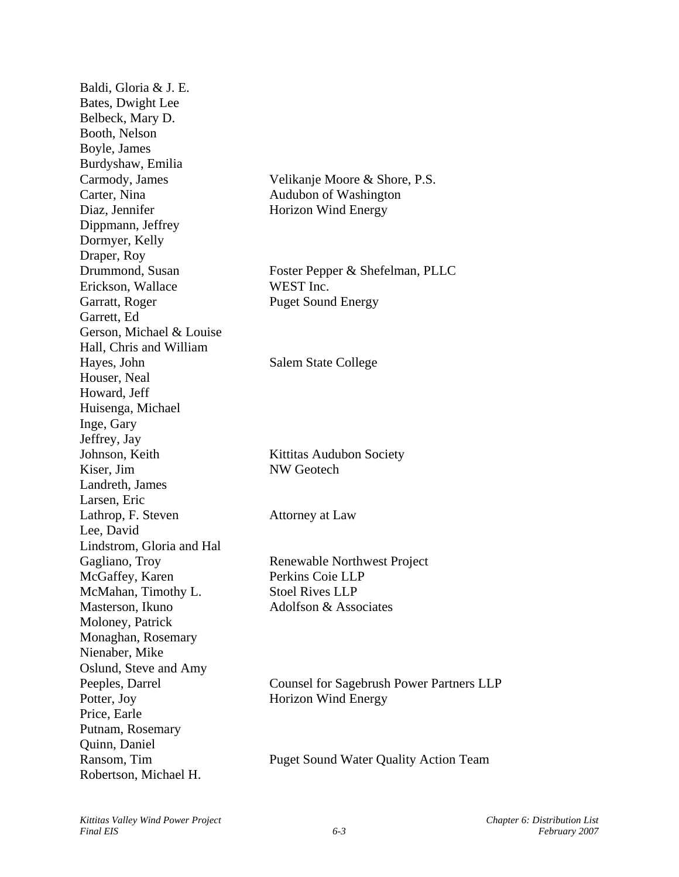Baldi, Gloria & J. E. Bates, Dwight Lee Belbeck, Mary D. Booth, Nelson Boyle, James Burdyshaw, Emilia Carmody, James Velikanje Moore & Shore, P.S. Carter, Nina Audubon of Washington Diaz, Jennifer Horizon Wind Energy Dippmann, Jeffrey Dormyer, Kelly Draper, Roy Drummond, Susan Foster Pepper & Shefelman, PLLC Erickson, Wallace WEST Inc. Garratt, Roger Puget Sound Energy Garrett, Ed Gerson, Michael & Louise Hall, Chris and William Hayes, John Salem State College Houser, Neal Howard, Jeff Huisenga, Michael Inge, Gary Jeffrey, Jay Johnson, Keith Kittitas Audubon Society Kiser, Jim NW Geotech Landreth, James Larsen, Eric Lathrop, F. Steven Attorney at Law Lee, David Lindstrom, Gloria and Hal Gagliano, Troy Renewable Northwest Project McGaffey, Karen Perkins Coie LLP McMahan, Timothy L.<br>Stoel Rives LLP Masterson, Ikuno Adolfson & Associates Moloney, Patrick Monaghan, Rosemary Nienaber, Mike Oslund, Steve and Amy Peeples, Darrel Counsel for Sagebrush Power Partners LLP Potter, Joy Horizon Wind Energy Price, Earle Putnam, Rosemary Quinn, Daniel Ransom, Tim Puget Sound Water Quality Action Team Robertson, Michael H.